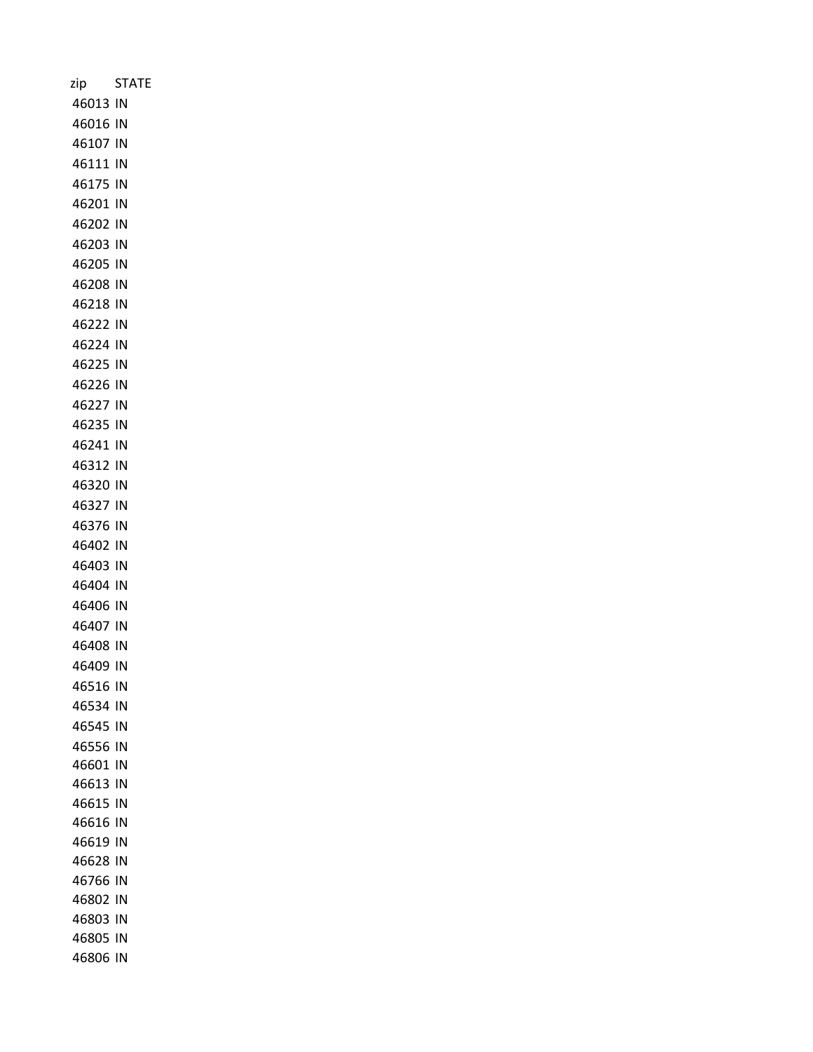| zip      | <b>STATE</b> |
|----------|--------------|
| 46013 IN |              |
| 46016 IN |              |
| 46107 IN |              |
| 46111 IN |              |
| 46175 IN |              |
| 46201 IN |              |
| 46202 IN |              |
| 46203 IN |              |
| 46205 IN |              |
| 46208 IN |              |
| 46218 IN |              |
| 46222 IN |              |
| 46224 IN |              |
| 46225 IN |              |
| 46226 IN |              |
| 46227 IN |              |
| 46235 IN |              |
| 46241 IN |              |
| 46312 IN |              |
| 46320 IN |              |
| 46327 IN |              |
| 46376 IN |              |
| 46402 IN |              |
| 46403 IN |              |
| 46404 IN |              |
| 46406 IN |              |
| 46407 IN |              |
| 46408 IN |              |
| 46409 IN |              |
| 46516 IN |              |
| 46534 IN |              |
| 46545 IN |              |
| 46556 IN |              |
| 46601 IN |              |
| 46613 IN |              |
| 46615 IN |              |
| 46616 IN |              |
| 46619 IN |              |
| 46628 IN |              |
| 46766 IN |              |
| 46802 IN |              |
| 46803 IN |              |
| 46805 IN |              |
| 46806 IN |              |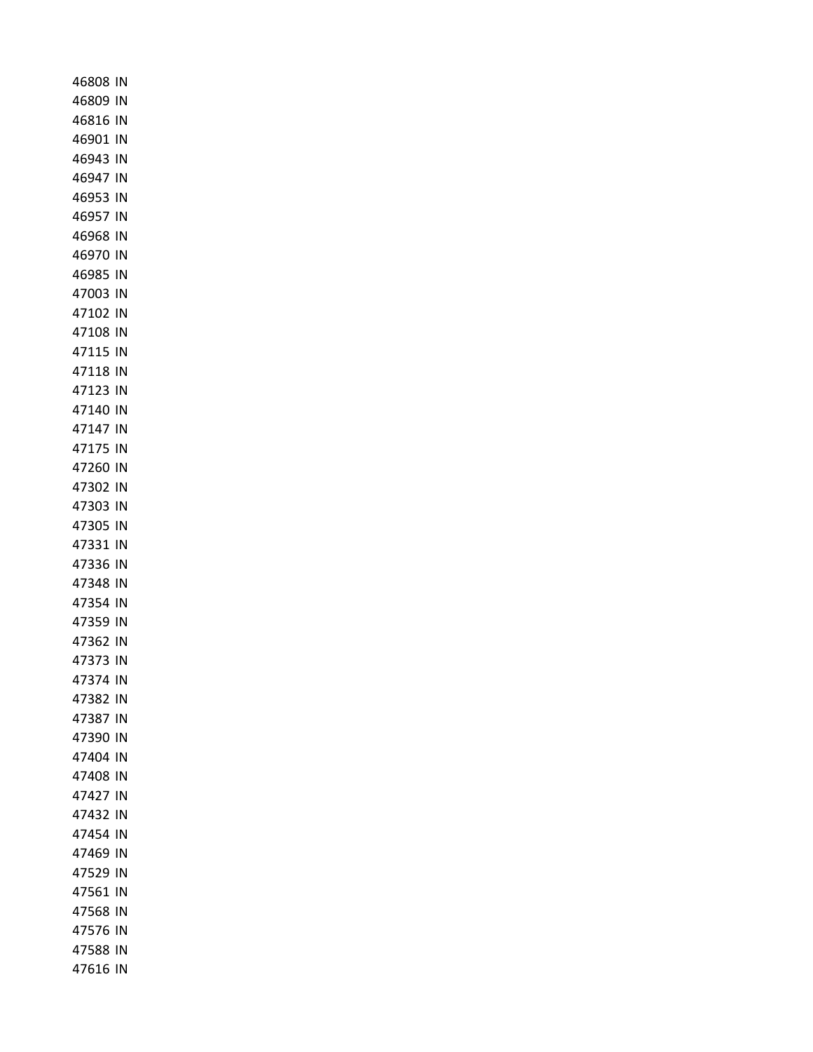| 46808 IN             |  |
|----------------------|--|
| 46809 IN             |  |
| 46816 IN             |  |
| 46901 IN             |  |
| 46943 IN             |  |
| 46947 IN             |  |
| 46953 IN             |  |
| 46957 IN             |  |
| 46968 IN             |  |
| 46970 IN             |  |
| 46985 IN             |  |
| 47003 IN             |  |
| 47102 IN             |  |
| 47108 IN             |  |
| 47115 IN             |  |
| 47118 IN             |  |
| 47123 IN             |  |
| 47140 IN             |  |
| 47147 IN             |  |
| 47175 IN             |  |
| 47260 IN             |  |
| 47302 IN             |  |
| 47303 IN             |  |
| 47305 IN             |  |
| 47331 IN<br>47336 IN |  |
| 47348 IN             |  |
| 47354 IN             |  |
| 47359 IN             |  |
| 47362 IN             |  |
| 47373 IN             |  |
| 47374 IN             |  |
| 47382 IN             |  |
| 47387 IN             |  |
| 47390 IN             |  |
| 47404 IN             |  |
| 47408 IN             |  |
| 47427 IN             |  |
| 47432 IN             |  |
| 47454 IN             |  |
| 47469 IN             |  |
| 47529 IN             |  |
| 47561 IN             |  |
| 47568 IN             |  |
| 47576 IN             |  |
| 47588 IN             |  |
| 47616 IN             |  |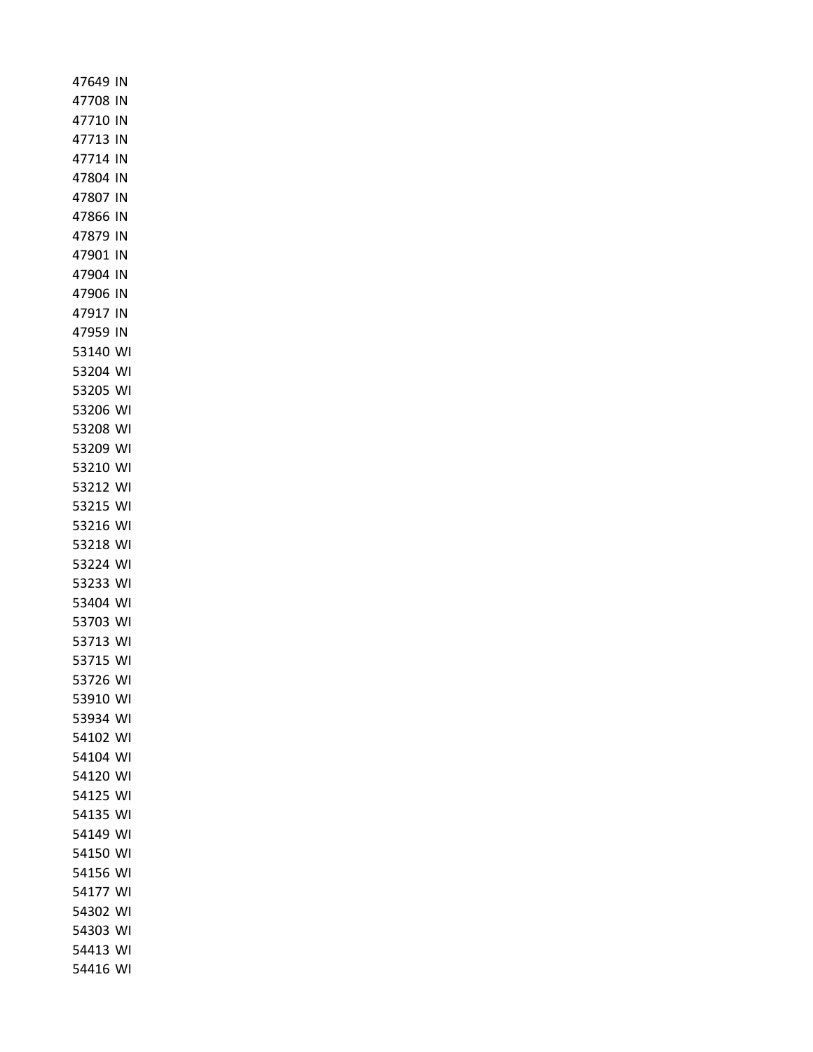| 47649 IN       |    |
|----------------|----|
| 47708 IN       |    |
| 47710 IN       |    |
| 47713 IN       |    |
| 47714 IN       |    |
| 47804 IN       |    |
| 47807 IN       |    |
| 47866 IN       |    |
| 47879 IN       |    |
| 47901 IN       |    |
| 47904 IN       |    |
| 47906 IN       |    |
| 47917 IN       |    |
| 47959 IN       |    |
| 53140 WI       |    |
| 53204 WI       |    |
| 53205 WI       |    |
| 53206          | WI |
| 53208 WI       |    |
| 53209          | WI |
| 53210          | WI |
| 53212 WI       |    |
| 53215          | WI |
| 53216 WI       |    |
| 53218<br>53224 | WI |
| 53233          | WI |
| 53404 WI       | WI |
| 53703 WI       |    |
| 53713 WI       |    |
| 53715          | WI |
| 53726          | WI |
| 53910          | WI |
| 53934          | WI |
| 54102          | WI |
| 54104          | WI |
| 54120          | WI |
| 54125          | WI |
| 54135          | WI |
| 54149          | WI |
| 54150          | WI |
| 54156          | WI |
| 54177          | WI |
| 54302          | WI |
| 54303          | WI |
| 54413          | WI |
| 54416          | WI |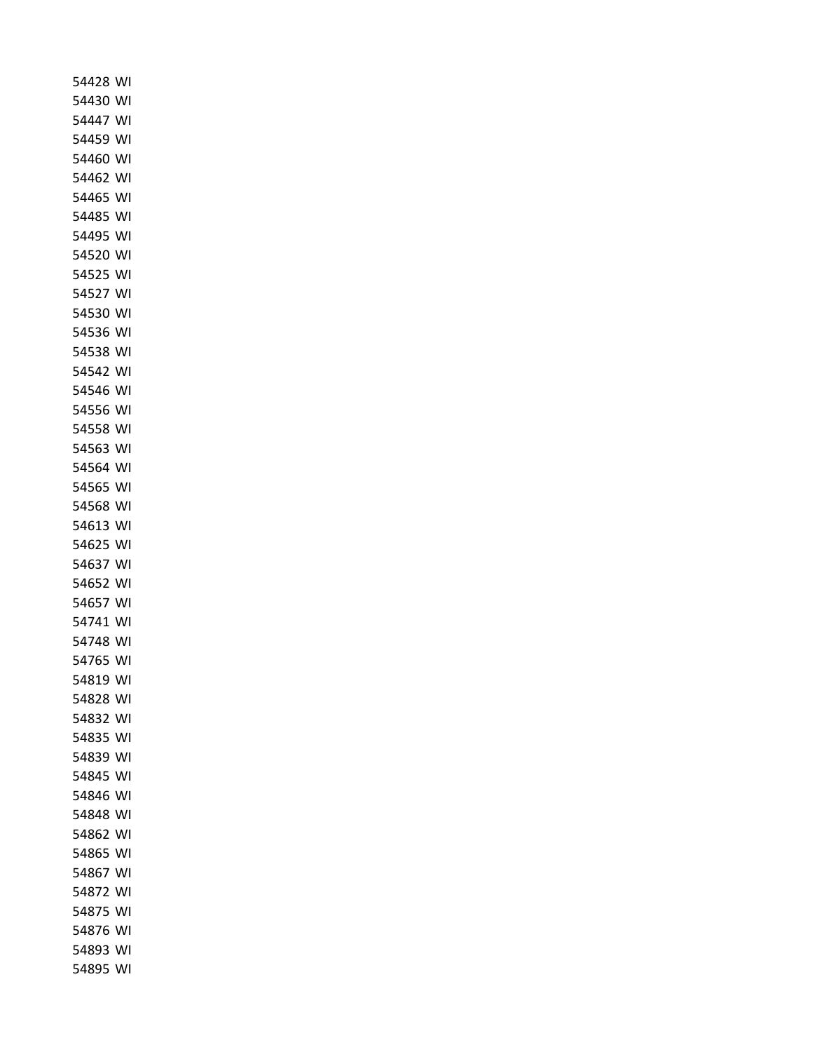| 54430<br>W١<br>54447<br>WI<br>54459<br>WI<br>54460<br>WI<br>54462<br>W١<br>54465<br>W١<br>54485<br>WI<br>54495<br>WI<br>54520<br>WI<br>54525<br>W١<br>54527<br>WI<br>54530<br>WI<br>54536<br>W١<br>54538<br>WI<br>54542<br>W١<br>54546<br>WI<br>54556<br>W١<br>54558<br>WI<br>54563<br>W١<br>54564<br>W١<br>54565<br>WI<br>54568<br>WI<br>54613<br>WI<br>54625<br>W١<br>54637<br>W١<br>54652<br>WI<br>54657<br>WI<br>54741<br>WI<br>54748<br>WI<br>54765<br>WI<br>54819<br>WI<br>54828<br>WI<br>54832<br>WI<br>54835<br>WI<br>54839<br>WI<br>54845<br>WI<br>54846<br>WI<br>54848<br>WI<br>54862<br>WI<br>54865<br>WI<br>54867<br>WI<br>54872<br>WI<br>54875<br>WI<br>54876<br>WI | 54428 | WI |
|----------------------------------------------------------------------------------------------------------------------------------------------------------------------------------------------------------------------------------------------------------------------------------------------------------------------------------------------------------------------------------------------------------------------------------------------------------------------------------------------------------------------------------------------------------------------------------------------------------------------------------------------------------------------------------|-------|----|
|                                                                                                                                                                                                                                                                                                                                                                                                                                                                                                                                                                                                                                                                                  |       |    |
|                                                                                                                                                                                                                                                                                                                                                                                                                                                                                                                                                                                                                                                                                  |       |    |
|                                                                                                                                                                                                                                                                                                                                                                                                                                                                                                                                                                                                                                                                                  |       |    |
|                                                                                                                                                                                                                                                                                                                                                                                                                                                                                                                                                                                                                                                                                  |       |    |
|                                                                                                                                                                                                                                                                                                                                                                                                                                                                                                                                                                                                                                                                                  |       |    |
|                                                                                                                                                                                                                                                                                                                                                                                                                                                                                                                                                                                                                                                                                  |       |    |
|                                                                                                                                                                                                                                                                                                                                                                                                                                                                                                                                                                                                                                                                                  |       |    |
|                                                                                                                                                                                                                                                                                                                                                                                                                                                                                                                                                                                                                                                                                  |       |    |
|                                                                                                                                                                                                                                                                                                                                                                                                                                                                                                                                                                                                                                                                                  |       |    |
|                                                                                                                                                                                                                                                                                                                                                                                                                                                                                                                                                                                                                                                                                  |       |    |
|                                                                                                                                                                                                                                                                                                                                                                                                                                                                                                                                                                                                                                                                                  |       |    |
|                                                                                                                                                                                                                                                                                                                                                                                                                                                                                                                                                                                                                                                                                  |       |    |
|                                                                                                                                                                                                                                                                                                                                                                                                                                                                                                                                                                                                                                                                                  |       |    |
|                                                                                                                                                                                                                                                                                                                                                                                                                                                                                                                                                                                                                                                                                  |       |    |
|                                                                                                                                                                                                                                                                                                                                                                                                                                                                                                                                                                                                                                                                                  |       |    |
|                                                                                                                                                                                                                                                                                                                                                                                                                                                                                                                                                                                                                                                                                  |       |    |
|                                                                                                                                                                                                                                                                                                                                                                                                                                                                                                                                                                                                                                                                                  |       |    |
|                                                                                                                                                                                                                                                                                                                                                                                                                                                                                                                                                                                                                                                                                  |       |    |
|                                                                                                                                                                                                                                                                                                                                                                                                                                                                                                                                                                                                                                                                                  |       |    |
|                                                                                                                                                                                                                                                                                                                                                                                                                                                                                                                                                                                                                                                                                  |       |    |
|                                                                                                                                                                                                                                                                                                                                                                                                                                                                                                                                                                                                                                                                                  |       |    |
|                                                                                                                                                                                                                                                                                                                                                                                                                                                                                                                                                                                                                                                                                  |       |    |
|                                                                                                                                                                                                                                                                                                                                                                                                                                                                                                                                                                                                                                                                                  |       |    |
|                                                                                                                                                                                                                                                                                                                                                                                                                                                                                                                                                                                                                                                                                  |       |    |
|                                                                                                                                                                                                                                                                                                                                                                                                                                                                                                                                                                                                                                                                                  |       |    |
|                                                                                                                                                                                                                                                                                                                                                                                                                                                                                                                                                                                                                                                                                  |       |    |
|                                                                                                                                                                                                                                                                                                                                                                                                                                                                                                                                                                                                                                                                                  |       |    |
|                                                                                                                                                                                                                                                                                                                                                                                                                                                                                                                                                                                                                                                                                  |       |    |
|                                                                                                                                                                                                                                                                                                                                                                                                                                                                                                                                                                                                                                                                                  |       |    |
|                                                                                                                                                                                                                                                                                                                                                                                                                                                                                                                                                                                                                                                                                  |       |    |
|                                                                                                                                                                                                                                                                                                                                                                                                                                                                                                                                                                                                                                                                                  |       |    |
|                                                                                                                                                                                                                                                                                                                                                                                                                                                                                                                                                                                                                                                                                  |       |    |
|                                                                                                                                                                                                                                                                                                                                                                                                                                                                                                                                                                                                                                                                                  |       |    |
|                                                                                                                                                                                                                                                                                                                                                                                                                                                                                                                                                                                                                                                                                  |       |    |
|                                                                                                                                                                                                                                                                                                                                                                                                                                                                                                                                                                                                                                                                                  |       |    |
|                                                                                                                                                                                                                                                                                                                                                                                                                                                                                                                                                                                                                                                                                  |       |    |
|                                                                                                                                                                                                                                                                                                                                                                                                                                                                                                                                                                                                                                                                                  |       |    |
|                                                                                                                                                                                                                                                                                                                                                                                                                                                                                                                                                                                                                                                                                  |       |    |
|                                                                                                                                                                                                                                                                                                                                                                                                                                                                                                                                                                                                                                                                                  |       |    |
|                                                                                                                                                                                                                                                                                                                                                                                                                                                                                                                                                                                                                                                                                  |       |    |
|                                                                                                                                                                                                                                                                                                                                                                                                                                                                                                                                                                                                                                                                                  |       |    |
|                                                                                                                                                                                                                                                                                                                                                                                                                                                                                                                                                                                                                                                                                  |       |    |
|                                                                                                                                                                                                                                                                                                                                                                                                                                                                                                                                                                                                                                                                                  |       |    |
| 54893                                                                                                                                                                                                                                                                                                                                                                                                                                                                                                                                                                                                                                                                            |       |    |
|                                                                                                                                                                                                                                                                                                                                                                                                                                                                                                                                                                                                                                                                                  |       |    |
| WI                                                                                                                                                                                                                                                                                                                                                                                                                                                                                                                                                                                                                                                                               | 54895 | WI |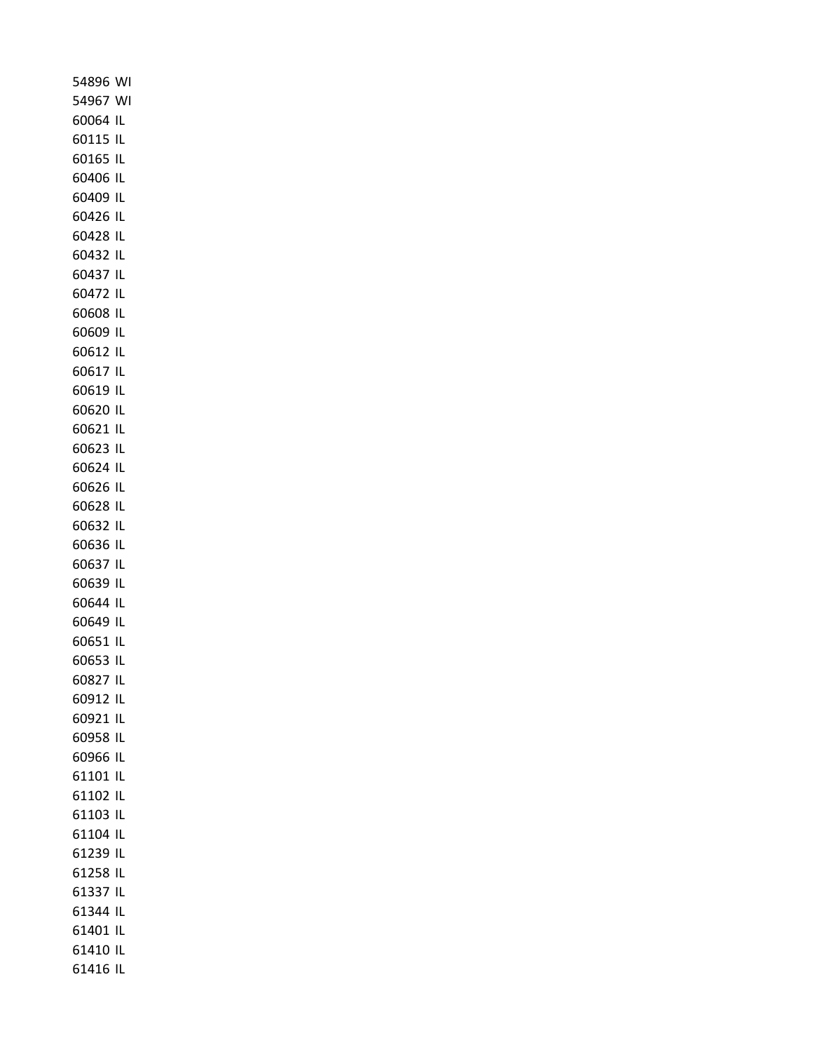| 54896 WI          |     |
|-------------------|-----|
| 54967 WI          |     |
| 60064 IL          |     |
| 60115 IL          |     |
| 60165 IL          |     |
| 60406 IL          |     |
| 60409 IL          |     |
| 60426 IL          |     |
| 60428 IL          |     |
| 60432 IL          |     |
| 60437 IL          |     |
| 60472 IL          |     |
| 60608 IL          |     |
| 60609 IL          |     |
| 60612 IL          |     |
| 60617 IL          |     |
| 60619 IL          |     |
| 60620 IL          |     |
| 60621 IL          |     |
| 60623 IL          |     |
| 60624 IL          |     |
| 60626 IL          |     |
| 60628 IL          |     |
| 60632 IL          |     |
| 60636 IL          |     |
| 60637 IL          |     |
| 60639 IL          |     |
| 60644 IL          |     |
| 60649 IL          |     |
| 60651 IL          |     |
| 60653             | IL  |
| 60827             | IL  |
| 60912 IL          |     |
| 60921             | -IL |
| 60958             | IL  |
| 60966 IL          |     |
| 61101 IL          |     |
| 61102             | IL  |
| 61103 IL          |     |
| 61104<br>61239 IL | IL  |
| 61258 IL          |     |
| 61337 IL          |     |
| 61344 IL          |     |
| 61401             | IL  |
| 61410 IL          |     |
| 61416 IL          |     |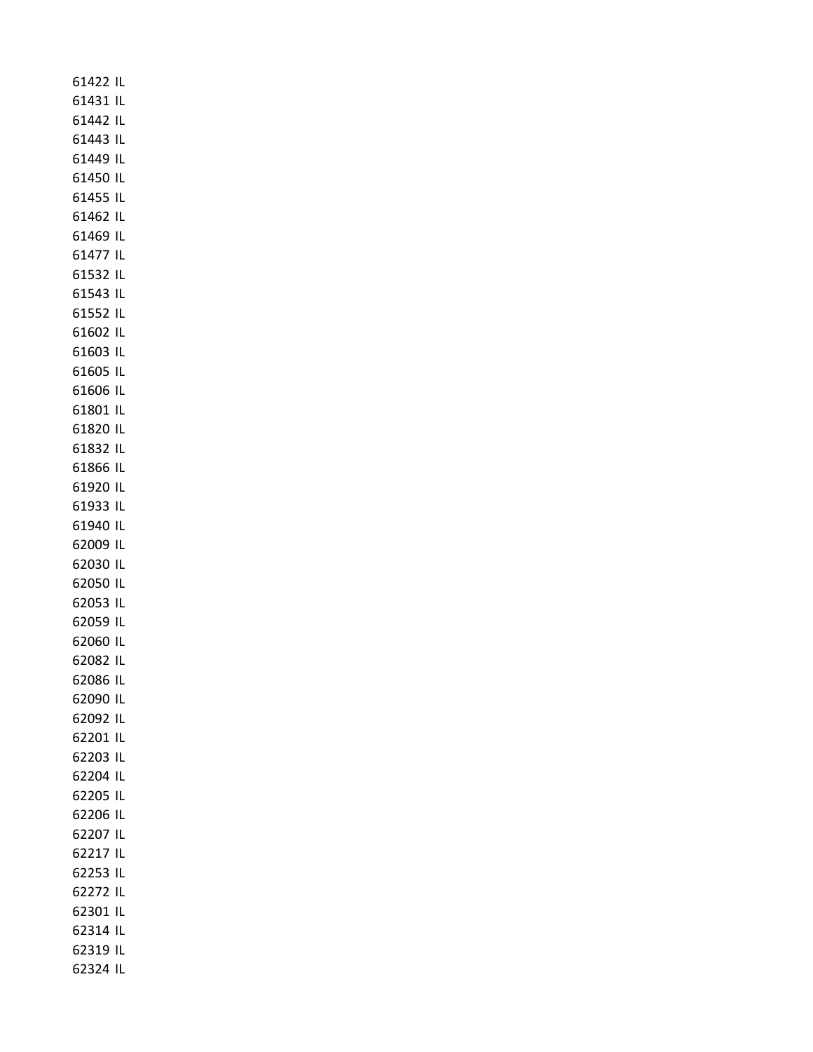| 61422 IL          |    |
|-------------------|----|
| 61431 IL          |    |
| 61442 IL          |    |
| 61443 IL          |    |
| 61449 IL          |    |
| 61450 IL          |    |
| 61455 IL          |    |
| 61462 IL          |    |
| 61469 IL          |    |
| 61477 IL          |    |
| 61532 IL          |    |
| 61543 IL          |    |
| 61552 IL          |    |
| 61602 IL          |    |
| 61603 IL          |    |
| 61605 IL          |    |
| 61606 IL          |    |
| 61801 IL          |    |
| 61820 IL          |    |
| 61832 IL          |    |
| 61866 IL          |    |
| 61920 IL          |    |
| 61933 IL          |    |
| 61940 IL          |    |
| 62009 IL          |    |
| 62030 IL          |    |
| 62050 IL          |    |
| 62053 IL          |    |
| 62059 IL          |    |
| 62060 IL          |    |
| 62082<br>62086 IL | IL |
| 62090 IL          |    |
| 62092 IL          |    |
| 62201             | ΙL |
| 62203 IL          |    |
| 62204 IL          |    |
| 62205             | IL |
| 62206 IL          |    |
| 62207             | IL |
| 62217 IL          |    |
| 62253 IL          |    |
| 62272 IL          |    |
| 62301 IL          |    |
| 62314 IL          |    |
| 62319 IL          |    |
| 62324 IL          |    |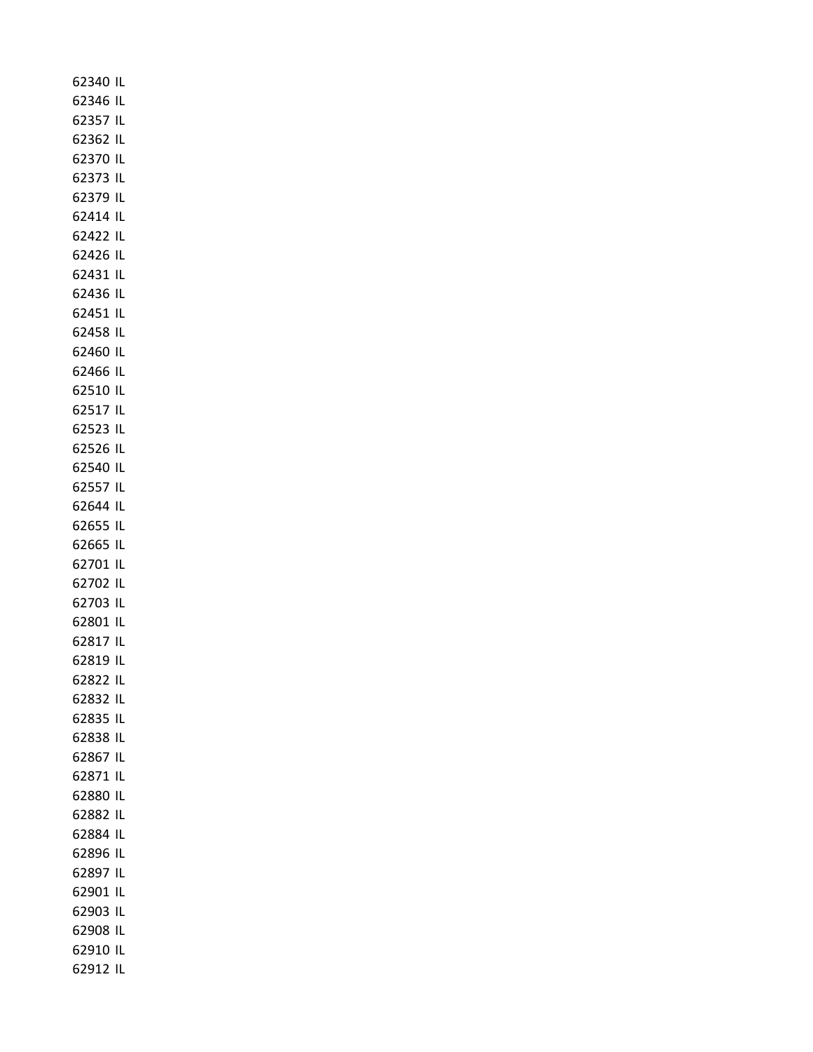| 62340 IL |    |
|----------|----|
| 62346 IL |    |
| 62357 IL |    |
| 62362 IL |    |
| 62370 IL |    |
| 62373 IL |    |
| 62379 IL |    |
| 62414 IL |    |
| 62422 IL |    |
|          |    |
| 62426 IL |    |
| 62431 IL |    |
| 62436 IL |    |
| 62451 IL |    |
| 62458 IL |    |
| 62460 IL |    |
| 62466 IL |    |
| 62510 IL |    |
| 62517 IL |    |
| 62523 IL |    |
| 62526 IL |    |
| 62540 IL |    |
| 62557 IL |    |
| 62644 IL |    |
| 62655 IL |    |
| 62665 IL |    |
| 62701 IL |    |
| 62702 IL |    |
| 62703 IL |    |
| 62801 IL |    |
| 62817 IL |    |
| 62819 IL |    |
| 62822 IL |    |
| 62832    | IL |
| 62835 IL |    |
| 62838 IL |    |
| 62867 IL |    |
|          |    |
| 62871 IL |    |
| 62880 IL |    |
| 62882 IL |    |
| 62884 IL |    |
| 62896 IL |    |
| 62897 IL |    |
| 62901 IL |    |
| 62903 IL |    |
| 62908 IL |    |
| 62910 IL |    |
| 62912 IL |    |